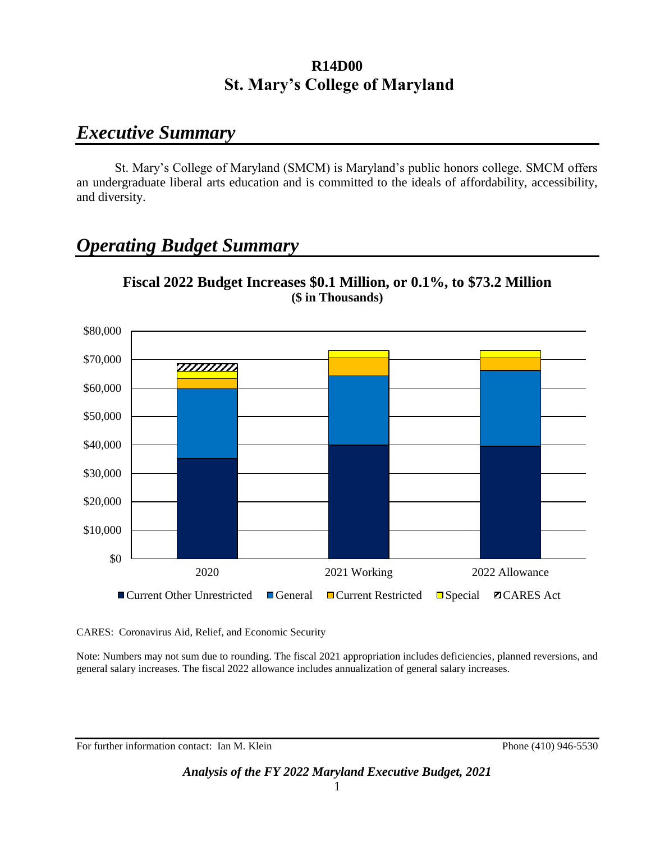## *Executive Summary*

St. Mary's College of Maryland (SMCM) is Maryland's public honors college. SMCM offers an undergraduate liberal arts education and is committed to the ideals of affordability, accessibility, and diversity.

# *Operating Budget Summary*



**Fiscal 2022 Budget Increases \$0.1 Million, or 0.1%, to \$73.2 Million (\$ in Thousands)**

CARES: Coronavirus Aid, Relief, and Economic Security

Note: Numbers may not sum due to rounding. The fiscal 2021 appropriation includes deficiencies, planned reversions, and general salary increases. The fiscal 2022 allowance includes annualization of general salary increases.

For further information contact: Ian M. Klein Phone (410) 946-5530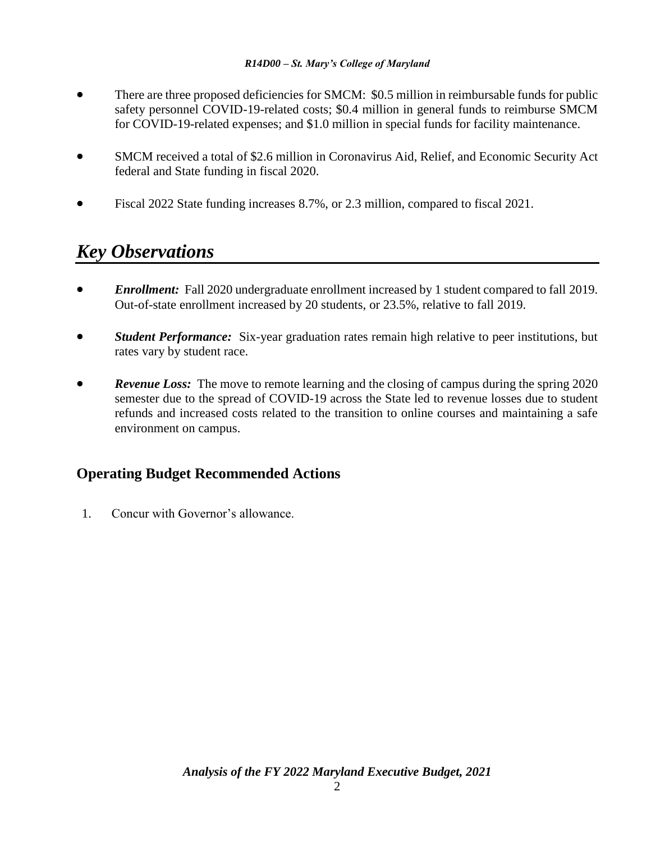- There are three proposed deficiencies for SMCM: \$0.5 million in reimbursable funds for public safety personnel COVID-19-related costs; \$0.4 million in general funds to reimburse SMCM for COVID-19-related expenses; and \$1.0 million in special funds for facility maintenance.
- SMCM received a total of \$2.6 million in Coronavirus Aid, Relief, and Economic Security Act federal and State funding in fiscal 2020.
- Fiscal 2022 State funding increases 8.7%, or 2.3 million, compared to fiscal 2021.

# *Key Observations*

- *Enrollment:* Fall 2020 undergraduate enrollment increased by 1 student compared to fall 2019. Out-of-state enrollment increased by 20 students, or 23.5%, relative to fall 2019.
- *Student Performance:* Six-year graduation rates remain high relative to peer institutions, but rates vary by student race.
- *Revenue Loss:* The move to remote learning and the closing of campus during the spring 2020 semester due to the spread of COVID-19 across the State led to revenue losses due to student refunds and increased costs related to the transition to online courses and maintaining a safe environment on campus.

## **Operating Budget Recommended Actions**

1. Concur with Governor's allowance.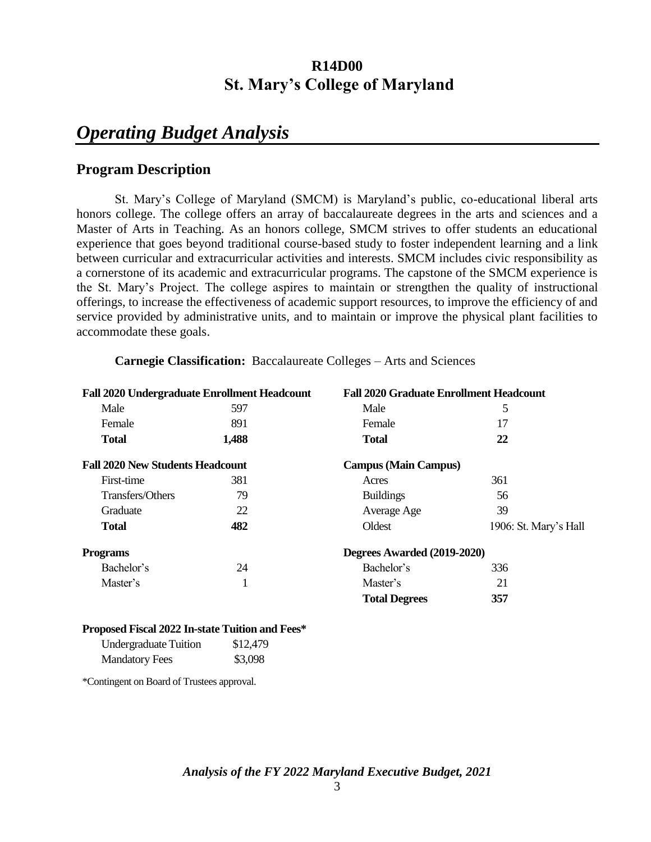# *Operating Budget Analysis*

## **Program Description**

St. Mary's College of Maryland (SMCM) is Maryland's public, co-educational liberal arts honors college. The college offers an array of baccalaureate degrees in the arts and sciences and a Master of Arts in Teaching. As an honors college, SMCM strives to offer students an educational experience that goes beyond traditional course-based study to foster independent learning and a link between curricular and extracurricular activities and interests. SMCM includes civic responsibility as a cornerstone of its academic and extracurricular programs. The capstone of the SMCM experience is the St. Mary's Project. The college aspires to maintain or strengthen the quality of instructional offerings, to increase the effectiveness of academic support resources, to improve the efficiency of and service provided by administrative units, and to maintain or improve the physical plant facilities to accommodate these goals.

|                                         | <b>Fall 2020 Undergraduate Enrollment Headcount</b> | <b>Fall 2020 Graduate Enrollment Headcount</b> |                       |
|-----------------------------------------|-----------------------------------------------------|------------------------------------------------|-----------------------|
| Male                                    | 597                                                 | Male                                           | 5                     |
| Female                                  | 891                                                 | Female                                         | 17                    |
| <b>Total</b>                            | 1,488                                               | <b>Total</b>                                   | 22                    |
| <b>Fall 2020 New Students Headcount</b> |                                                     | <b>Campus (Main Campus)</b>                    |                       |
| First-time                              | 381                                                 | Acres                                          | 361                   |
| Transfers/Others                        | 79                                                  | <b>Buildings</b>                               | 56                    |
| Graduate                                | 22                                                  | Average Age                                    | 39                    |
| <b>Total</b>                            | 482                                                 | Oldest                                         | 1906: St. Mary's Hall |
| <b>Programs</b>                         |                                                     | Degrees Awarded (2019-2020)                    |                       |
| Bachelor's                              | 24                                                  | Bachelor's                                     | 336                   |
| Master's                                | -1                                                  | Master's                                       | 21                    |
|                                         |                                                     | <b>Total Degrees</b>                           | 357                   |
|                                         |                                                     |                                                |                       |

**Carnegie Classification:** Baccalaureate Colleges – Arts and Sciences

#### **Proposed Fiscal 2022 In-state Tuition and Fees\***

| <b>Undergraduate Tuition</b> | \$12,479 |
|------------------------------|----------|
| <b>Mandatory Fees</b>        | \$3,098  |

\*Contingent on Board of Trustees approval.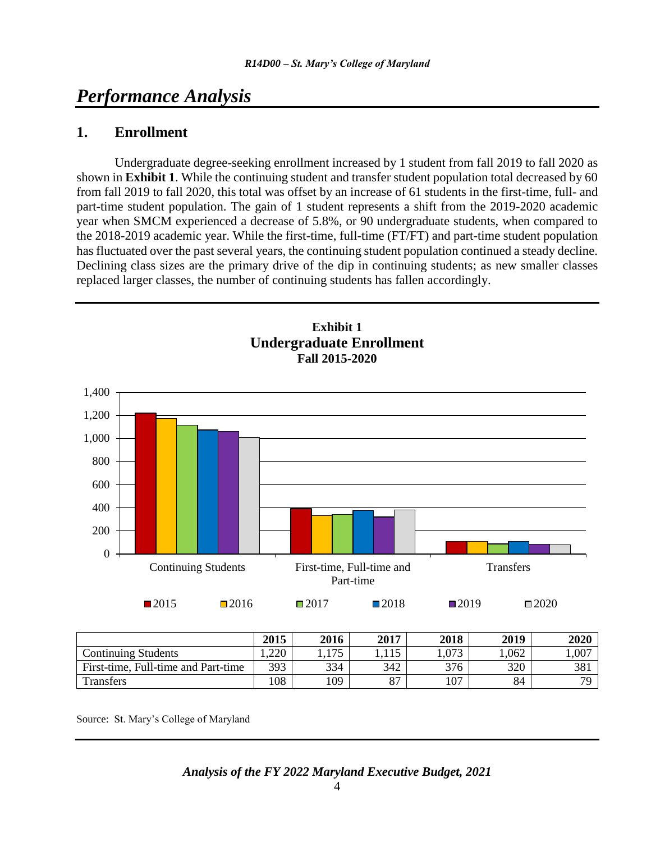## *Performance Analysis*

### **1. Enrollment**

Undergraduate degree-seeking enrollment increased by 1 student from fall 2019 to fall 2020 as shown in **Exhibit 1**. While the continuing student and transfer student population total decreased by 60 from fall 2019 to fall 2020, this total was offset by an increase of 61 students in the first-time, full- and part-time student population. The gain of 1 student represents a shift from the 2019-2020 academic year when SMCM experienced a decrease of 5.8%, or 90 undergraduate students, when compared to the 2018-2019 academic year. While the first-time, full-time (FT/FT) and part-time student population has fluctuated over the past several years, the continuing student population continued a steady decline. Declining class sizes are the primary drive of the dip in continuing students; as new smaller classes replaced larger classes, the number of continuing students has fallen accordingly.



|                                     | 2015  | 2016 | 2017     | 2018  | 2019 | 2020  |
|-------------------------------------|-------|------|----------|-------|------|-------|
| Continuing Students                 | 1,220 | 175  | 15       | 1,073 | .062 | 1,007 |
| First-time, Full-time and Part-time | 393   | 334  | 342      | 376   | 320  | 381   |
| Transfers                           | 108   | 109  | $\Omega$ | 107   | 84   | 70    |

Source: St. Mary's College of Maryland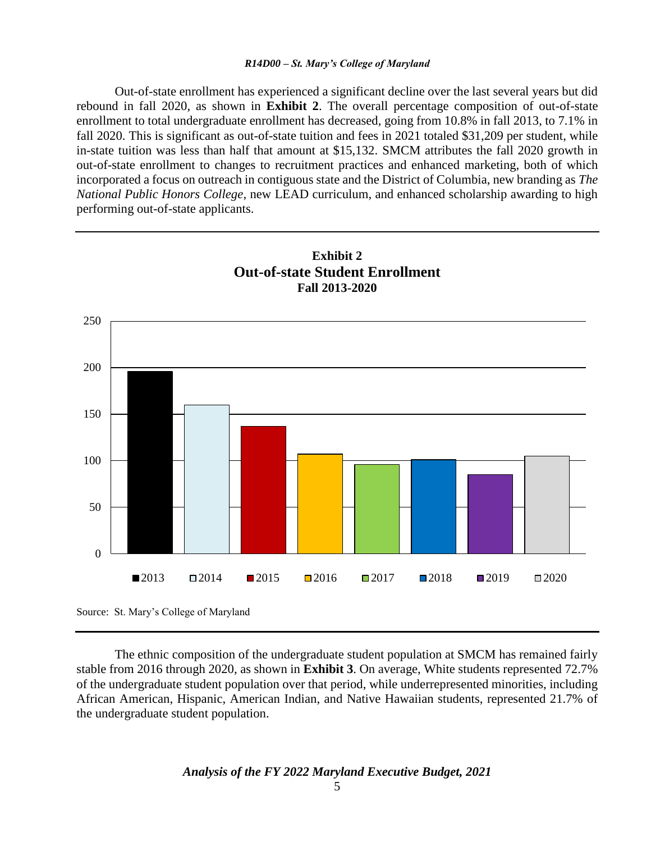Out-of-state enrollment has experienced a significant decline over the last several years but did rebound in fall 2020, as shown in **Exhibit 2**. The overall percentage composition of out-of-state enrollment to total undergraduate enrollment has decreased, going from 10.8% in fall 2013, to 7.1% in fall 2020. This is significant as out-of-state tuition and fees in 2021 totaled \$31,209 per student, while in-state tuition was less than half that amount at \$15,132. SMCM attributes the fall 2020 growth in out-of-state enrollment to changes to recruitment practices and enhanced marketing, both of which incorporated a focus on outreach in contiguous state and the District of Columbia, new branding as *The National Public Honors College*, new LEAD curriculum, and enhanced scholarship awarding to high performing out-of-state applicants.



The ethnic composition of the undergraduate student population at SMCM has remained fairly stable from 2016 through 2020, as shown in **Exhibit 3**. On average, White students represented 72.7% of the undergraduate student population over that period, while underrepresented minorities, including African American, Hispanic, American Indian, and Native Hawaiian students, represented 21.7% of the undergraduate student population.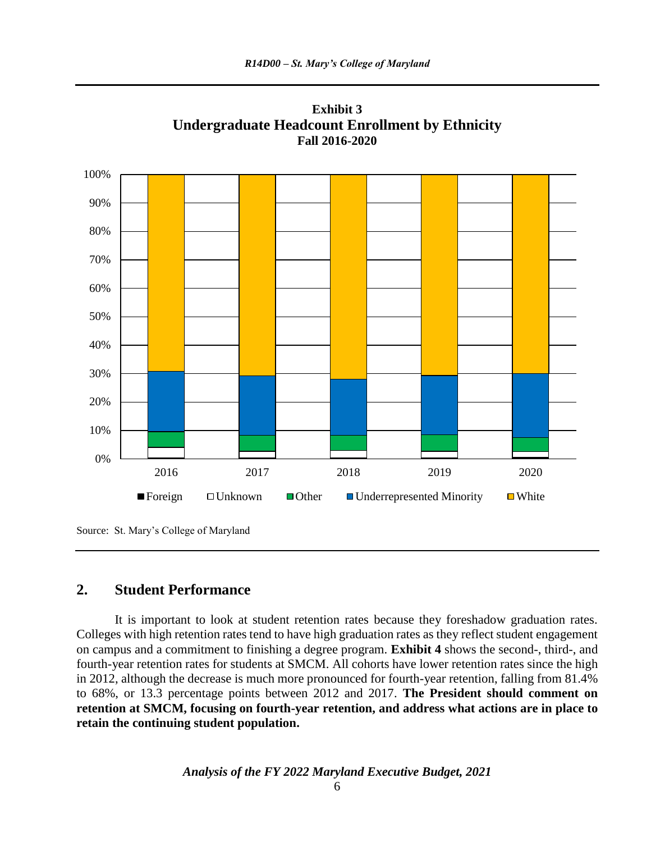

**Exhibit 3 Undergraduate Headcount Enrollment by Ethnicity Fall 2016-2020**

Source: St. Mary's College of Maryland

### **2. Student Performance**

It is important to look at student retention rates because they foreshadow graduation rates. Colleges with high retention rates tend to have high graduation rates as they reflect student engagement on campus and a commitment to finishing a degree program. **Exhibit 4** shows the second-, third-, and fourth-year retention rates for students at SMCM. All cohorts have lower retention rates since the high in 2012, although the decrease is much more pronounced for fourth-year retention, falling from 81.4% to 68%, or 13.3 percentage points between 2012 and 2017. **The President should comment on retention at SMCM, focusing on fourth-year retention, and address what actions are in place to retain the continuing student population.**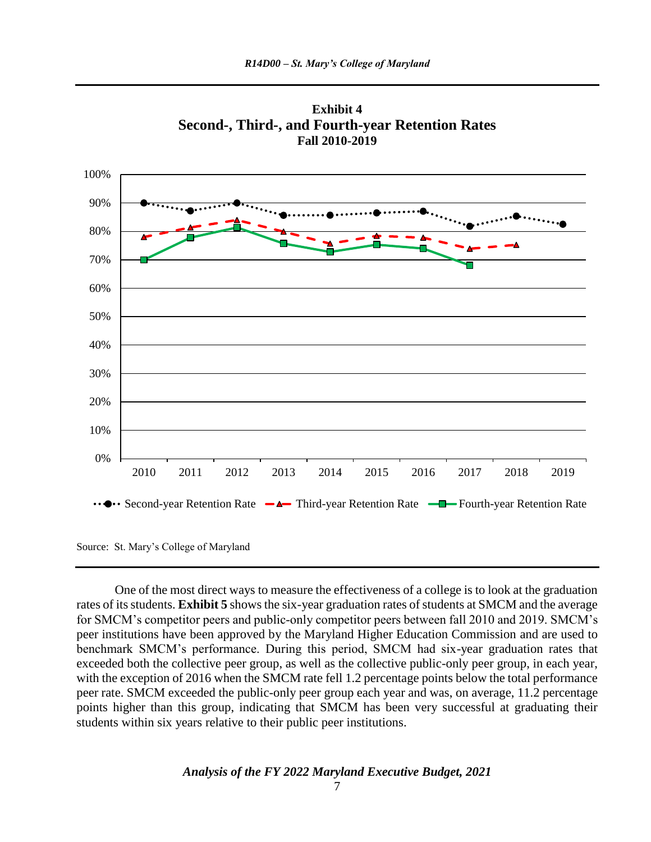



Source: St. Mary's College of Maryland

One of the most direct ways to measure the effectiveness of a college is to look at the graduation rates of its students. **Exhibit 5** shows the six-year graduation rates of students at SMCM and the average for SMCM's competitor peers and public-only competitor peers between fall 2010 and 2019. SMCM's peer institutions have been approved by the Maryland Higher Education Commission and are used to benchmark SMCM's performance. During this period, SMCM had six-year graduation rates that exceeded both the collective peer group, as well as the collective public-only peer group, in each year, with the exception of 2016 when the SMCM rate fell 1.2 percentage points below the total performance peer rate. SMCM exceeded the public-only peer group each year and was, on average, 11.2 percentage points higher than this group, indicating that SMCM has been very successful at graduating their students within six years relative to their public peer institutions.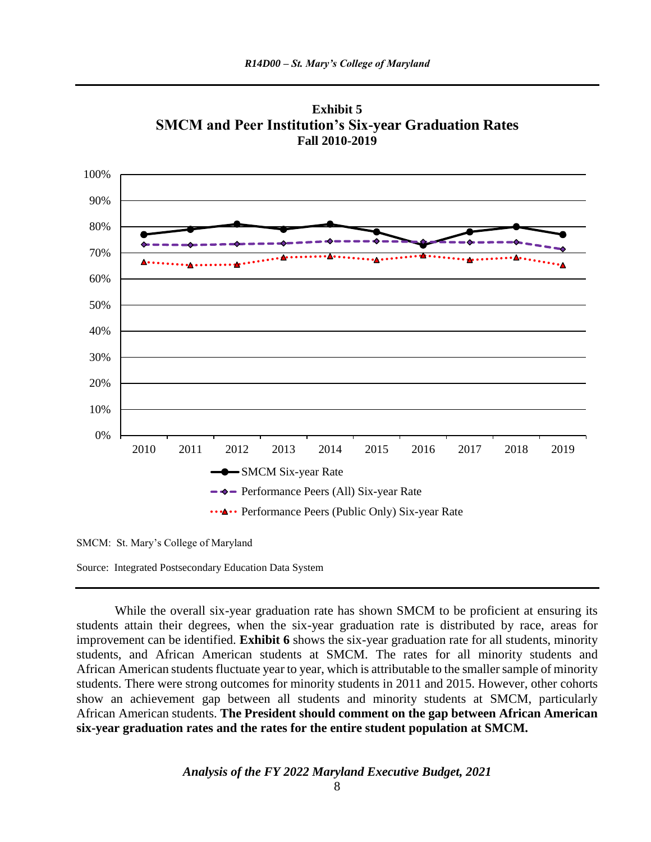

**Exhibit 5 SMCM and Peer Institution's Six-year Graduation Rates Fall 2010-2019**

SMCM: St. Mary's College of Maryland

Source: Integrated Postsecondary Education Data System

While the overall six-year graduation rate has shown SMCM to be proficient at ensuring its students attain their degrees, when the six-year graduation rate is distributed by race, areas for improvement can be identified. **Exhibit 6** shows the six-year graduation rate for all students, minority students, and African American students at SMCM. The rates for all minority students and African American students fluctuate year to year, which is attributable to the smaller sample of minority students. There were strong outcomes for minority students in 2011 and 2015. However, other cohorts show an achievement gap between all students and minority students at SMCM, particularly African American students. **The President should comment on the gap between African American six-year graduation rates and the rates for the entire student population at SMCM.**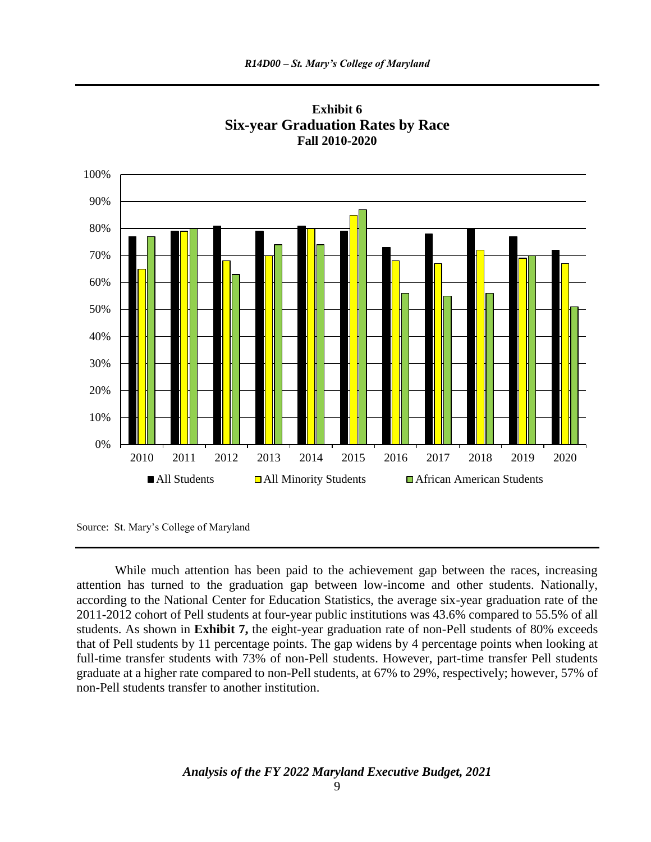



While much attention has been paid to the achievement gap between the races, increasing attention has turned to the graduation gap between low-income and other students. Nationally, according to the National Center for Education Statistics, the average six-year graduation rate of the 2011-2012 cohort of Pell students at four-year public institutions was 43.6% compared to 55.5% of all students. As shown in **Exhibit 7,** the eight-year graduation rate of non-Pell students of 80% exceeds that of Pell students by 11 percentage points. The gap widens by 4 percentage points when looking at full-time transfer students with 73% of non-Pell students. However, part-time transfer Pell students graduate at a higher rate compared to non-Pell students, at 67% to 29%, respectively; however, 57% of non-Pell students transfer to another institution.

Source: St. Mary's College of Maryland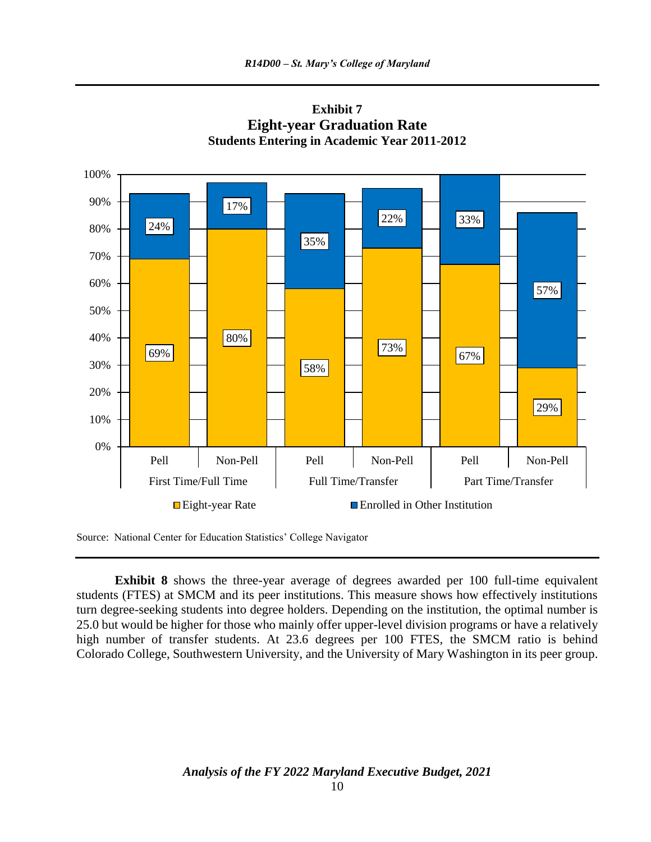

**Exhibit 7 Eight-year Graduation Rate Students Entering in Academic Year 2011-2012**

Source: National Center for Education Statistics' College Navigator

**Exhibit 8** shows the three-year average of degrees awarded per 100 full-time equivalent students (FTES) at SMCM and its peer institutions. This measure shows how effectively institutions turn degree-seeking students into degree holders. Depending on the institution, the optimal number is 25.0 but would be higher for those who mainly offer upper-level division programs or have a relatively high number of transfer students. At 23.6 degrees per 100 FTES, the SMCM ratio is behind Colorado College, Southwestern University, and the University of Mary Washington in its peer group.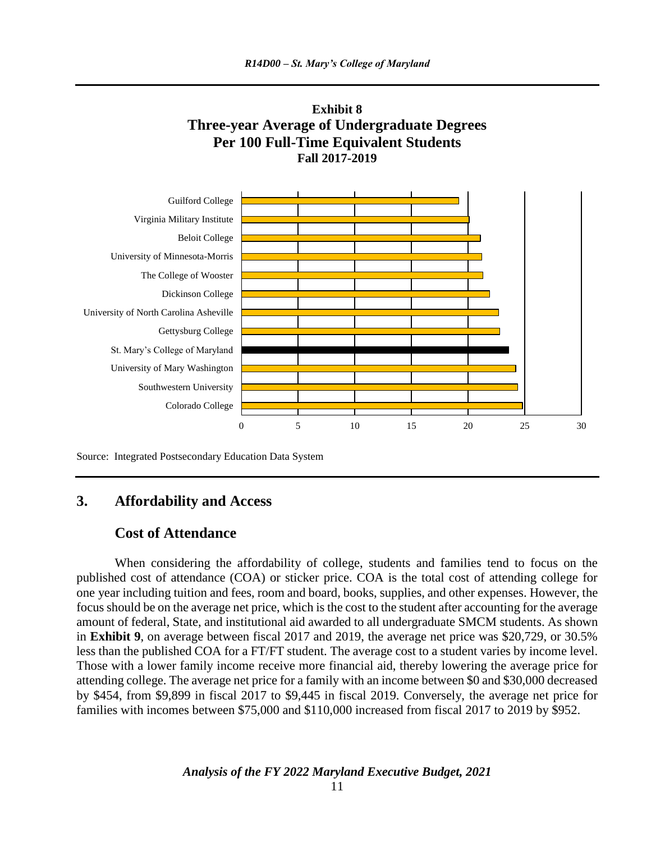



Source: Integrated Postsecondary Education Data System

#### **3. Affordability and Access**

### **Cost of Attendance**

When considering the affordability of college, students and families tend to focus on the published cost of attendance (COA) or sticker price. COA is the total cost of attending college for one year including tuition and fees, room and board, books, supplies, and other expenses. However, the focus should be on the average net price, which is the cost to the student after accounting for the average amount of federal, State, and institutional aid awarded to all undergraduate SMCM students. As shown in **Exhibit 9**, on average between fiscal 2017 and 2019, the average net price was \$20,729, or 30.5% less than the published COA for a FT/FT student. The average cost to a student varies by income level. Those with a lower family income receive more financial aid, thereby lowering the average price for attending college. The average net price for a family with an income between \$0 and \$30,000 decreased by \$454, from \$9,899 in fiscal 2017 to \$9,445 in fiscal 2019. Conversely, the average net price for families with incomes between \$75,000 and \$110,000 increased from fiscal 2017 to 2019 by \$952.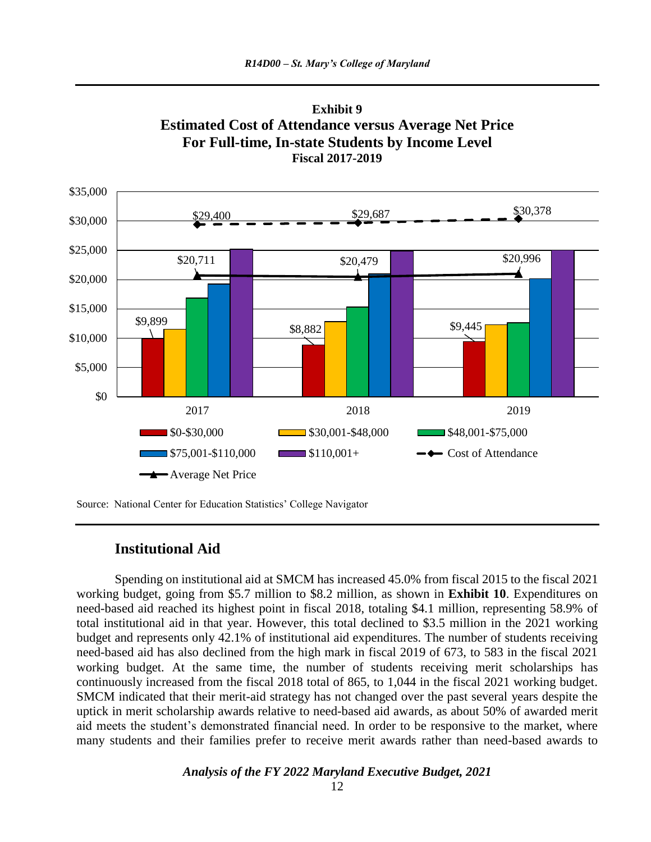



Source: National Center for Education Statistics' College Navigator

#### **Institutional Aid**

Spending on institutional aid at SMCM has increased 45.0% from fiscal 2015 to the fiscal 2021 working budget, going from \$5.7 million to \$8.2 million, as shown in **Exhibit 10**. Expenditures on need-based aid reached its highest point in fiscal 2018, totaling \$4.1 million, representing 58.9% of total institutional aid in that year. However, this total declined to \$3.5 million in the 2021 working budget and represents only 42.1% of institutional aid expenditures. The number of students receiving need-based aid has also declined from the high mark in fiscal 2019 of 673, to 583 in the fiscal 2021 working budget. At the same time, the number of students receiving merit scholarships has continuously increased from the fiscal 2018 total of 865, to 1,044 in the fiscal 2021 working budget. SMCM indicated that their merit-aid strategy has not changed over the past several years despite the uptick in merit scholarship awards relative to need-based aid awards, as about 50% of awarded merit aid meets the student's demonstrated financial need. In order to be responsive to the market, where many students and their families prefer to receive merit awards rather than need-based awards to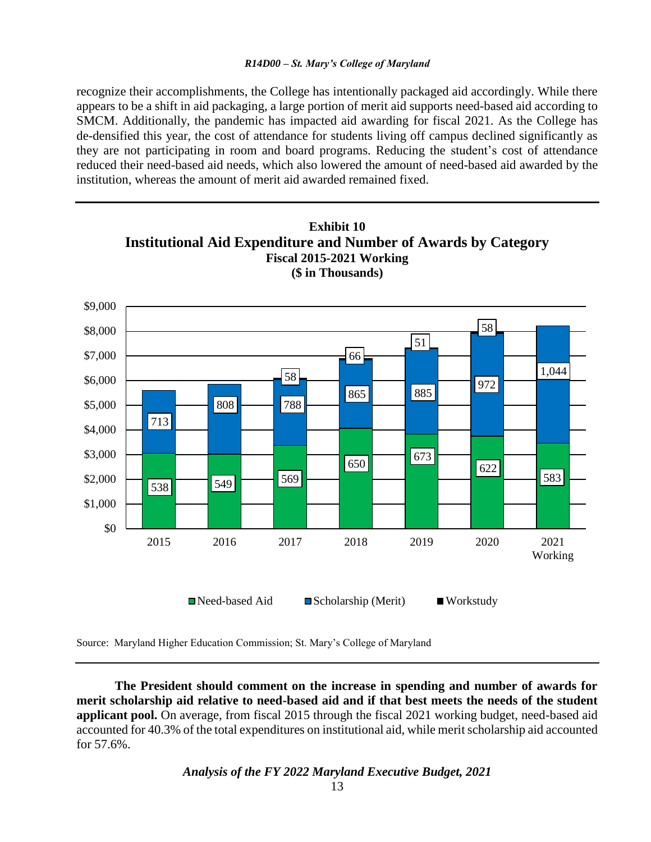recognize their accomplishments, the College has intentionally packaged aid accordingly. While there appears to be a shift in aid packaging, a large portion of merit aid supports need-based aid according to SMCM. Additionally, the pandemic has impacted aid awarding for fiscal 2021. As the College has de-densified this year, the cost of attendance for students living off campus declined significantly as they are not participating in room and board programs. Reducing the student's cost of attendance reduced their need-based aid needs, which also lowered the amount of need-based aid awarded by the institution, whereas the amount of merit aid awarded remained fixed.



Source: Maryland Higher Education Commission; St. Mary's College of Maryland

**The President should comment on the increase in spending and number of awards for merit scholarship aid relative to need-based aid and if that best meets the needs of the student applicant pool.** On average, from fiscal 2015 through the fiscal 2021 working budget, need-based aid accounted for 40.3% of the total expenditures on institutional aid, while merit scholarship aid accounted for 57.6%.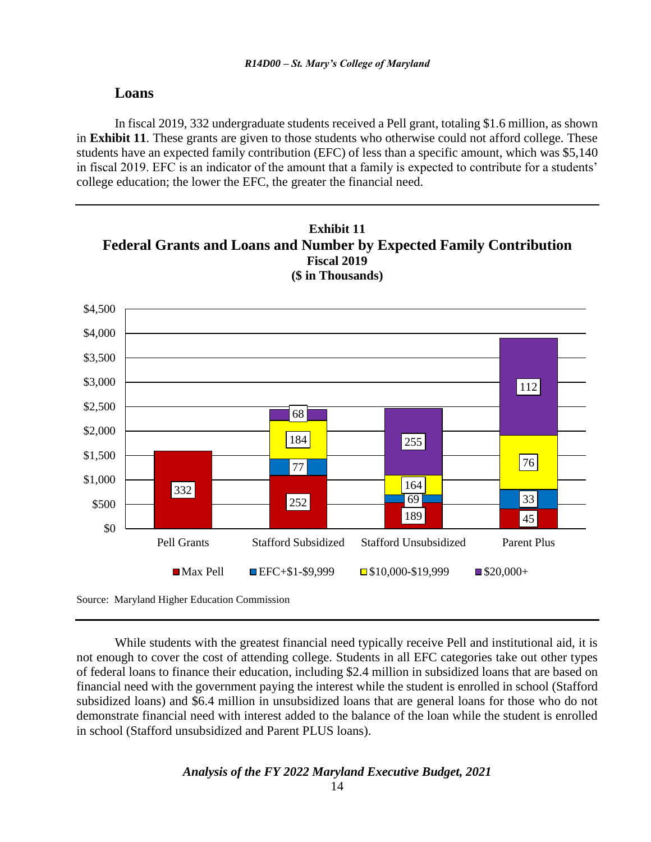#### **Loans**

In fiscal 2019, 332 undergraduate students received a Pell grant, totaling \$1.6 million, as shown in **Exhibit 11**. These grants are given to those students who otherwise could not afford college. These students have an expected family contribution (EFC) of less than a specific amount, which was \$5,140 in fiscal 2019. EFC is an indicator of the amount that a family is expected to contribute for a students' college education; the lower the EFC, the greater the financial need.



Source: Maryland Higher Education Commission

While students with the greatest financial need typically receive Pell and institutional aid, it is not enough to cover the cost of attending college. Students in all EFC categories take out other types of federal loans to finance their education, including \$2.4 million in subsidized loans that are based on financial need with the government paying the interest while the student is enrolled in school (Stafford subsidized loans) and \$6.4 million in unsubsidized loans that are general loans for those who do not demonstrate financial need with interest added to the balance of the loan while the student is enrolled in school (Stafford unsubsidized and Parent PLUS loans).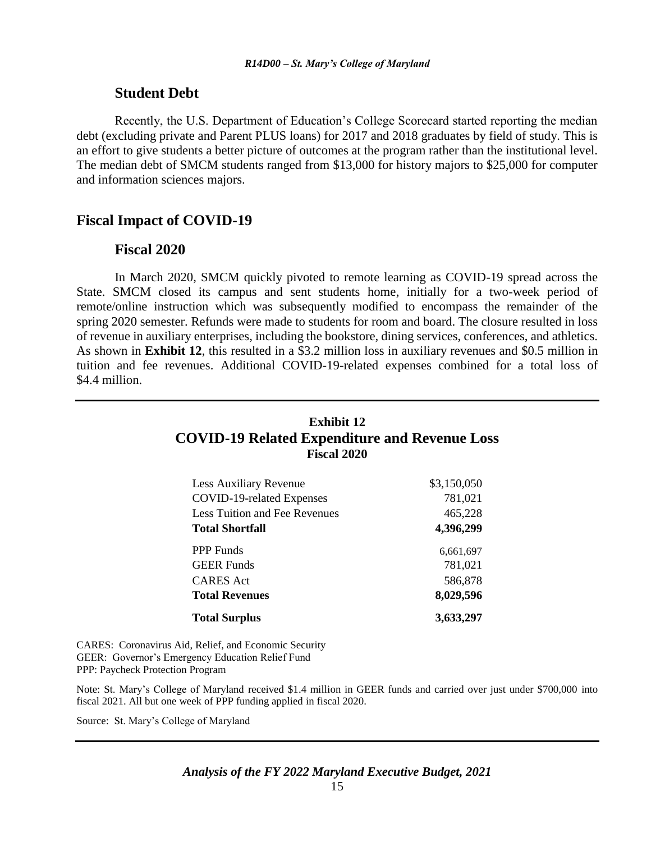#### **Student Debt**

Recently, the U.S. Department of Education's College Scorecard started reporting the median debt (excluding private and Parent PLUS loans) for 2017 and 2018 graduates by field of study. This is an effort to give students a better picture of outcomes at the program rather than the institutional level. The median debt of SMCM students ranged from \$13,000 for history majors to \$25,000 for computer and information sciences majors.

### **Fiscal Impact of COVID-19**

#### **Fiscal 2020**

In March 2020, SMCM quickly pivoted to remote learning as COVID-19 spread across the State. SMCM closed its campus and sent students home, initially for a two-week period of remote/online instruction which was subsequently modified to encompass the remainder of the spring 2020 semester. Refunds were made to students for room and board. The closure resulted in loss of revenue in auxiliary enterprises, including the bookstore, dining services, conferences, and athletics. As shown in **Exhibit 12**, this resulted in a \$3.2 million loss in auxiliary revenues and \$0.5 million in tuition and fee revenues. Additional COVID-19-related expenses combined for a total loss of \$4.4 million.

## **Exhibit 12 COVID-19 Related Expenditure and Revenue Loss Fiscal 2020**

| Less Auxiliary Revenue        | \$3,150,050 |
|-------------------------------|-------------|
| COVID-19-related Expenses     | 781,021     |
| Less Tuition and Fee Revenues | 465,228     |
| <b>Total Shortfall</b>        | 4,396,299   |
| <b>PPP</b> Funds              | 6,661,697   |
| <b>GEER</b> Funds             | 781,021     |
| <b>CARES</b> Act              | 586,878     |
| <b>Total Revenues</b>         | 8,029,596   |
| <b>Total Surplus</b>          | 3,633,297   |

CARES: Coronavirus Aid, Relief, and Economic Security GEER: Governor's Emergency Education Relief Fund PPP: Paycheck Protection Program

Note: St. Mary's College of Maryland received \$1.4 million in GEER funds and carried over just under \$700,000 into fiscal 2021. All but one week of PPP funding applied in fiscal 2020.

Source: St. Mary's College of Maryland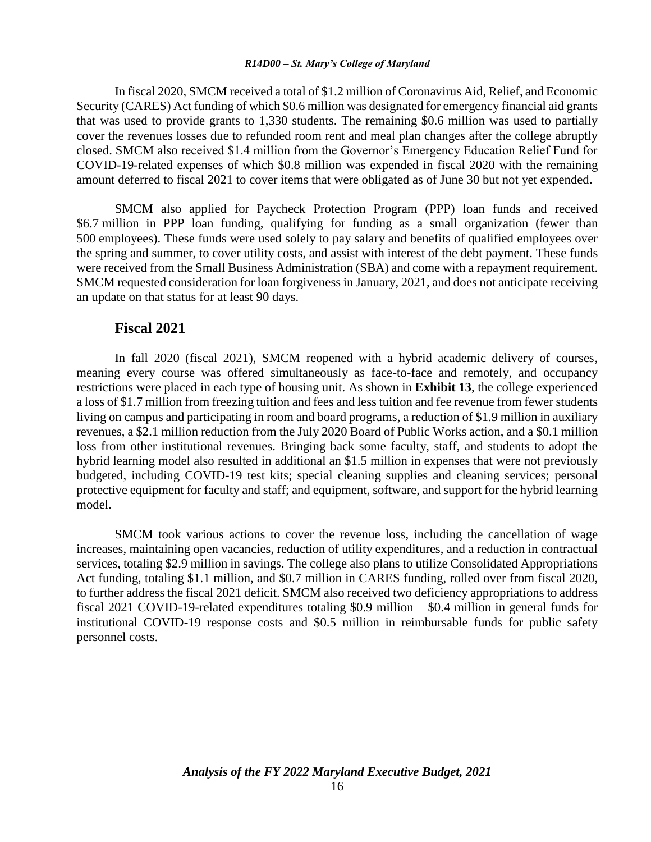In fiscal 2020, SMCM received a total of \$1.2 million of Coronavirus Aid, Relief, and Economic Security (CARES) Act funding of which \$0.6 million was designated for emergency financial aid grants that was used to provide grants to 1,330 students. The remaining \$0.6 million was used to partially cover the revenues losses due to refunded room rent and meal plan changes after the college abruptly closed. SMCM also received \$1.4 million from the Governor's Emergency Education Relief Fund for COVID-19-related expenses of which \$0.8 million was expended in fiscal 2020 with the remaining amount deferred to fiscal 2021 to cover items that were obligated as of June 30 but not yet expended.

SMCM also applied for Paycheck Protection Program (PPP) loan funds and received \$6.7 million in PPP loan funding, qualifying for funding as a small organization (fewer than 500 employees). These funds were used solely to pay salary and benefits of qualified employees over the spring and summer, to cover utility costs, and assist with interest of the debt payment. These funds were received from the Small Business Administration (SBA) and come with a repayment requirement. SMCM requested consideration for loan forgiveness in January, 2021, and does not anticipate receiving an update on that status for at least 90 days.

#### **Fiscal 2021**

In fall 2020 (fiscal 2021), SMCM reopened with a hybrid academic delivery of courses, meaning every course was offered simultaneously as face-to-face and remotely, and occupancy restrictions were placed in each type of housing unit. As shown in **Exhibit 13**, the college experienced a loss of \$1.7 million from freezing tuition and fees and less tuition and fee revenue from fewer students living on campus and participating in room and board programs, a reduction of \$1.9 million in auxiliary revenues, a \$2.1 million reduction from the July 2020 Board of Public Works action, and a \$0.1 million loss from other institutional revenues. Bringing back some faculty, staff, and students to adopt the hybrid learning model also resulted in additional an \$1.5 million in expenses that were not previously budgeted, including COVID-19 test kits; special cleaning supplies and cleaning services; personal protective equipment for faculty and staff; and equipment, software, and support for the hybrid learning model.

SMCM took various actions to cover the revenue loss, including the cancellation of wage increases, maintaining open vacancies, reduction of utility expenditures, and a reduction in contractual services, totaling \$2.9 million in savings. The college also plans to utilize Consolidated Appropriations Act funding, totaling \$1.1 million, and \$0.7 million in CARES funding, rolled over from fiscal 2020, to further address the fiscal 2021 deficit. SMCM also received two deficiency appropriations to address fiscal 2021 COVID-19-related expenditures totaling \$0.9 million – \$0.4 million in general funds for institutional COVID-19 response costs and \$0.5 million in reimbursable funds for public safety personnel costs.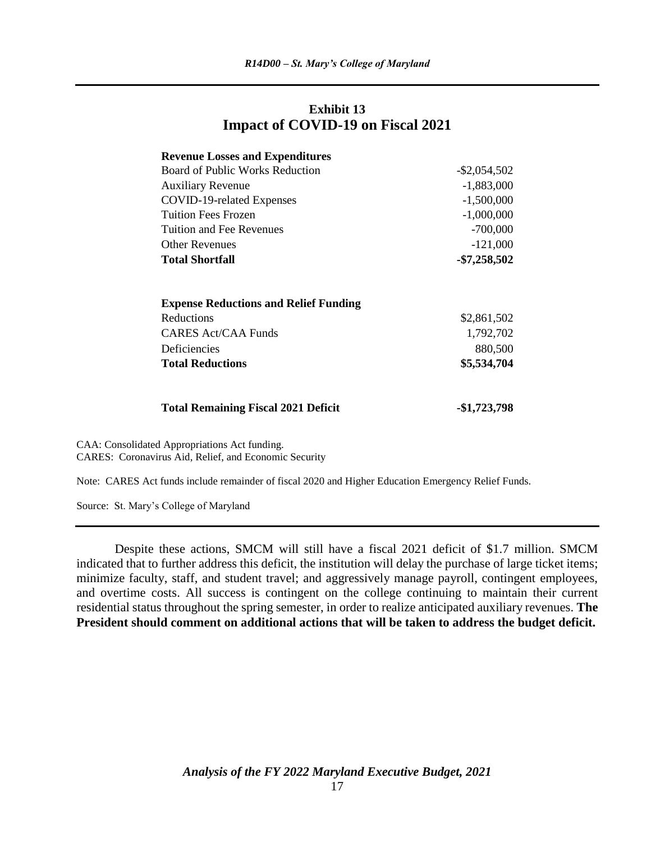### **Exhibit 13 Impact of COVID-19 on Fiscal 2021**

| <b>Revenue Losses and Expenditures</b>       |                 |
|----------------------------------------------|-----------------|
| Board of Public Works Reduction              | $-$ \$2,054,502 |
| <b>Auxiliary Revenue</b>                     | $-1,883,000$    |
| COVID-19-related Expenses                    | $-1,500,000$    |
| <b>Tuition Fees Frozen</b>                   | $-1,000,000$    |
| Tuition and Fee Revenues                     | $-700,000$      |
| <b>Other Revenues</b>                        | $-121,000$      |
| <b>Total Shortfall</b>                       | $-$7,258,502$   |
| <b>Expense Reductions and Relief Funding</b> |                 |
| Reductions                                   | \$2,861,502     |
| CARES Act/CAA Funds                          | 1,792,702       |
| Deficiencies                                 | 880,500         |
| <b>Total Reductions</b>                      | \$5,534,704     |
| <b>Total Remaining Fiscal 2021 Deficit</b>   | -\$1,723,798    |

CAA: Consolidated Appropriations Act funding. CARES: Coronavirus Aid, Relief, and Economic Security

Note: CARES Act funds include remainder of fiscal 2020 and Higher Education Emergency Relief Funds.

Source: St. Mary's College of Maryland

Despite these actions, SMCM will still have a fiscal 2021 deficit of \$1.7 million. SMCM indicated that to further address this deficit, the institution will delay the purchase of large ticket items; minimize faculty, staff, and student travel; and aggressively manage payroll, contingent employees, and overtime costs. All success is contingent on the college continuing to maintain their current residential status throughout the spring semester, in order to realize anticipated auxiliary revenues. **The President should comment on additional actions that will be taken to address the budget deficit.**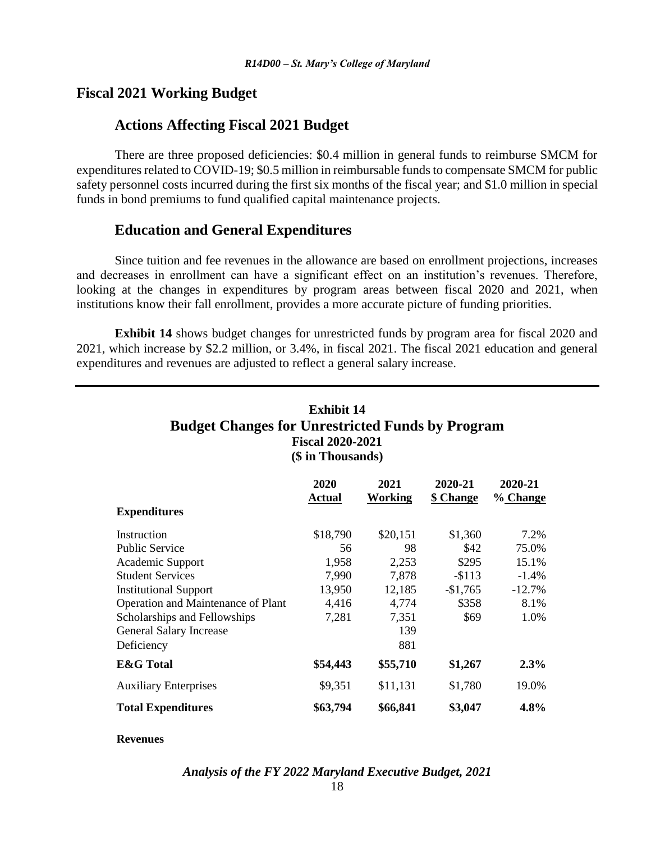### **Fiscal 2021 Working Budget**

### **Actions Affecting Fiscal 2021 Budget**

There are three proposed deficiencies: \$0.4 million in general funds to reimburse SMCM for expenditures related to COVID-19; \$0.5 million in reimbursable funds to compensate SMCM for public safety personnel costs incurred during the first six months of the fiscal year; and \$1.0 million in special funds in bond premiums to fund qualified capital maintenance projects.

### **Education and General Expenditures**

Since tuition and fee revenues in the allowance are based on enrollment projections, increases and decreases in enrollment can have a significant effect on an institution's revenues. Therefore, looking at the changes in expenditures by program areas between fiscal 2020 and 2021, when institutions know their fall enrollment, provides a more accurate picture of funding priorities.

**Exhibit 14** shows budget changes for unrestricted funds by program area for fiscal 2020 and 2021, which increase by \$2.2 million, or 3.4%, in fiscal 2021. The fiscal 2021 education and general expenditures and revenues are adjusted to reflect a general salary increase.

| Exhibit 14                                              |  |  |  |  |
|---------------------------------------------------------|--|--|--|--|
| <b>Budget Changes for Unrestricted Funds by Program</b> |  |  |  |  |
| <b>Fiscal 2020-2021</b>                                 |  |  |  |  |
| (\$ in Thousands)                                       |  |  |  |  |

|                                    | 2020<br><b>Actual</b> | 2021<br>Working | 2020-21<br>\$ Change | 2020-21<br>% Change |
|------------------------------------|-----------------------|-----------------|----------------------|---------------------|
| <b>Expenditures</b>                |                       |                 |                      |                     |
| Instruction                        | \$18,790              | \$20,151        | \$1,360              | 7.2%                |
| <b>Public Service</b>              | 56                    | 98              | \$42                 | 75.0%               |
| Academic Support                   | 1,958                 | 2,253           | \$295                | 15.1%               |
| <b>Student Services</b>            | 7,990                 | 7,878           | $-$113$              | $-1.4%$             |
| <b>Institutional Support</b>       | 13,950                | 12,185          | $-$1,765$            | $-12.7%$            |
| Operation and Maintenance of Plant | 4,416                 | 4,774           | \$358                | 8.1%                |
| Scholarships and Fellowships       | 7,281                 | 7,351           | \$69                 | 1.0%                |
| <b>General Salary Increase</b>     |                       | 139             |                      |                     |
| Deficiency                         |                       | 881             |                      |                     |
| <b>E&amp;G</b> Total               | \$54,443              | \$55,710        | \$1,267              | $2.3\%$             |
| <b>Auxiliary Enterprises</b>       | \$9,351               | \$11,131        | \$1,780              | 19.0%               |
| <b>Total Expenditures</b>          | \$63,794              | \$66,841        | \$3,047              | 4.8%                |

#### **Revenues**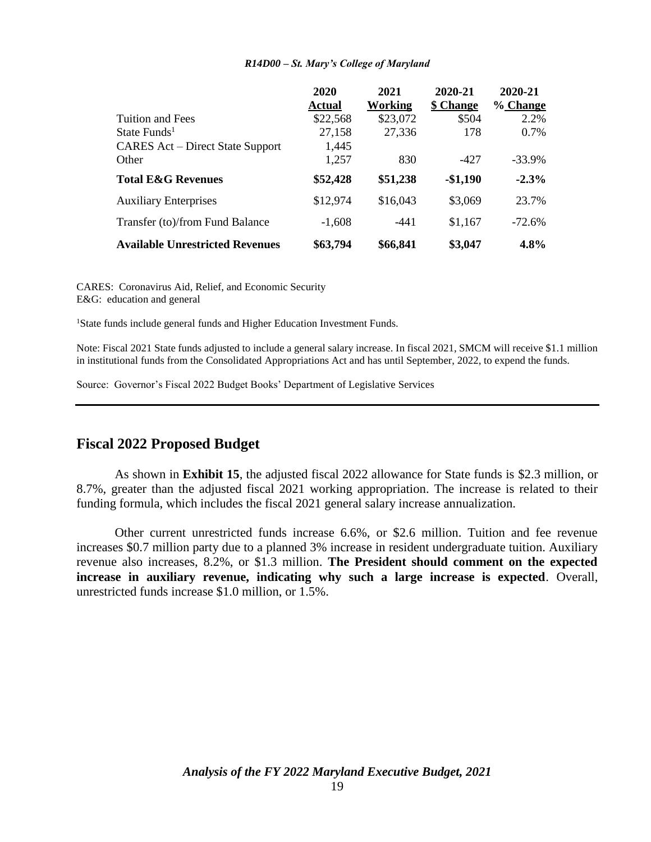|                                         | 2020          | 2021     | 2020-21   | 2020-21  |
|-----------------------------------------|---------------|----------|-----------|----------|
|                                         | <b>Actual</b> | Working  | \$ Change | % Change |
| Tuition and Fees                        | \$22,568      | \$23,072 | \$504     | 2.2%     |
| State Funds <sup>1</sup>                | 27,158        | 27,336   | 178       | 0.7%     |
| <b>CARES Act</b> – Direct State Support | 1,445         |          |           |          |
| Other                                   | 1,257         | 830      | $-427$    | $-33.9%$ |
| <b>Total E&amp;G Revenues</b>           | \$52,428      | \$51,238 | $-$1,190$ | $-2.3%$  |
| <b>Auxiliary Enterprises</b>            | \$12,974      | \$16,043 | \$3,069   | 23.7%    |
| Transfer (to)/from Fund Balance         | $-1,608$      | $-441$   | \$1,167   | $-72.6%$ |
| <b>Available Unrestricted Revenues</b>  | \$63,794      | \$66,841 | \$3,047   | 4.8%     |

CARES: Coronavirus Aid, Relief, and Economic Security E&G: education and general

<sup>1</sup>State funds include general funds and Higher Education Investment Funds.

Note: Fiscal 2021 State funds adjusted to include a general salary increase. In fiscal 2021, SMCM will receive \$1.1 million in institutional funds from the Consolidated Appropriations Act and has until September, 2022, to expend the funds.

Source: Governor's Fiscal 2022 Budget Books' Department of Legislative Services

### **Fiscal 2022 Proposed Budget**

As shown in **Exhibit 15**, the adjusted fiscal 2022 allowance for State funds is \$2.3 million, or 8.7%, greater than the adjusted fiscal 2021 working appropriation. The increase is related to their funding formula, which includes the fiscal 2021 general salary increase annualization.

Other current unrestricted funds increase 6.6%, or \$2.6 million. Tuition and fee revenue increases \$0.7 million party due to a planned 3% increase in resident undergraduate tuition. Auxiliary revenue also increases, 8.2%, or \$1.3 million. **The President should comment on the expected increase in auxiliary revenue, indicating why such a large increase is expected**. Overall, unrestricted funds increase \$1.0 million, or 1.5%.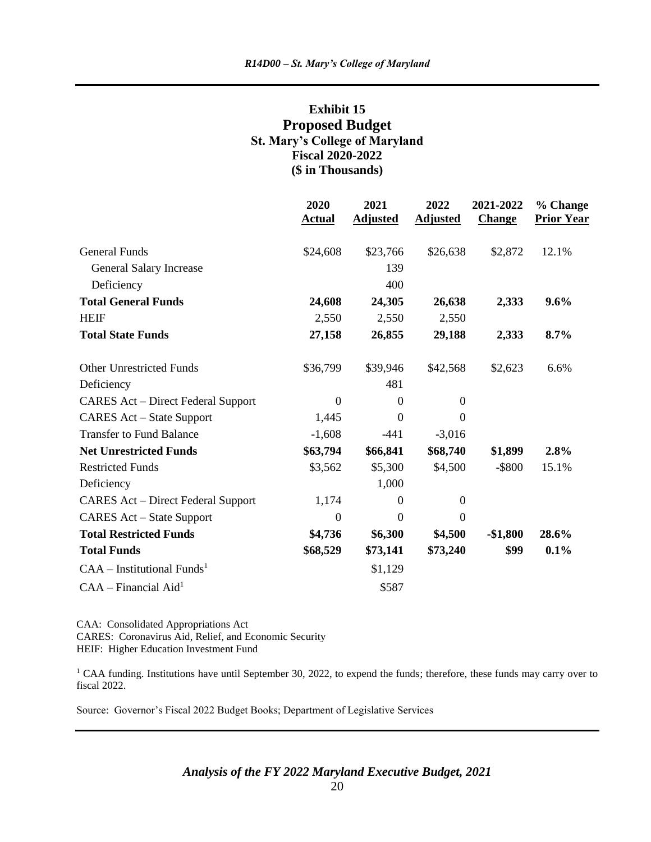### **Exhibit 15 Proposed Budget St. Mary's College of Maryland Fiscal 2020-2022 (\$ in Thousands)**

|                                           | 2020<br><b>Actual</b> | 2021<br><b>Adjusted</b> | 2022<br><b>Adjusted</b> | 2021-2022<br><b>Change</b> | % Change<br><b>Prior Year</b> |
|-------------------------------------------|-----------------------|-------------------------|-------------------------|----------------------------|-------------------------------|
| <b>General Funds</b>                      | \$24,608              | \$23,766                | \$26,638                | \$2,872                    | 12.1%                         |
| <b>General Salary Increase</b>            |                       | 139                     |                         |                            |                               |
| Deficiency                                |                       | 400                     |                         |                            |                               |
| <b>Total General Funds</b>                | 24,608                | 24,305                  | 26,638                  | 2,333                      | 9.6%                          |
| <b>HEIF</b>                               | 2,550                 | 2,550                   | 2,550                   |                            |                               |
| <b>Total State Funds</b>                  | 27,158                | 26,855                  | 29,188                  | 2,333                      | 8.7%                          |
| <b>Other Unrestricted Funds</b>           | \$36,799              | \$39,946                | \$42,568                | \$2,623                    | 6.6%                          |
| Deficiency                                |                       | 481                     |                         |                            |                               |
| <b>CARES Act – Direct Federal Support</b> | $\boldsymbol{0}$      | $\boldsymbol{0}$        | $\boldsymbol{0}$        |                            |                               |
| <b>CARES</b> Act – State Support          | 1,445                 | $\overline{0}$          | $\mathbf{0}$            |                            |                               |
| <b>Transfer to Fund Balance</b>           | $-1,608$              | $-441$                  | $-3,016$                |                            |                               |
| <b>Net Unrestricted Funds</b>             | \$63,794              | \$66,841                | \$68,740                | \$1,899                    | 2.8%                          |
| <b>Restricted Funds</b>                   | \$3,562               | \$5,300                 | \$4,500                 | $-$ \$800                  | 15.1%                         |
| Deficiency                                |                       | 1,000                   |                         |                            |                               |
| <b>CARES Act – Direct Federal Support</b> | 1,174                 | $\boldsymbol{0}$        | $\boldsymbol{0}$        |                            |                               |
| <b>CARES</b> Act – State Support          | $\boldsymbol{0}$      | $\mathbf{0}$            | $\boldsymbol{0}$        |                            |                               |
| <b>Total Restricted Funds</b>             | \$4,736               | \$6,300                 | \$4,500                 | $-$1,800$                  | 28.6%                         |
| <b>Total Funds</b>                        | \$68,529              | \$73,141                | \$73,240                | \$99                       | 0.1%                          |
| $CAA$ – Institutional Funds <sup>1</sup>  |                       | \$1,129                 |                         |                            |                               |
| $CAA - Financial Aid1$                    |                       | \$587                   |                         |                            |                               |

CAA: Consolidated Appropriations Act CARES: Coronavirus Aid, Relief, and Economic Security HEIF: Higher Education Investment Fund

<sup>1</sup> CAA funding. Institutions have until September 30, 2022, to expend the funds; therefore, these funds may carry over to fiscal 2022.

Source: Governor's Fiscal 2022 Budget Books; Department of Legislative Services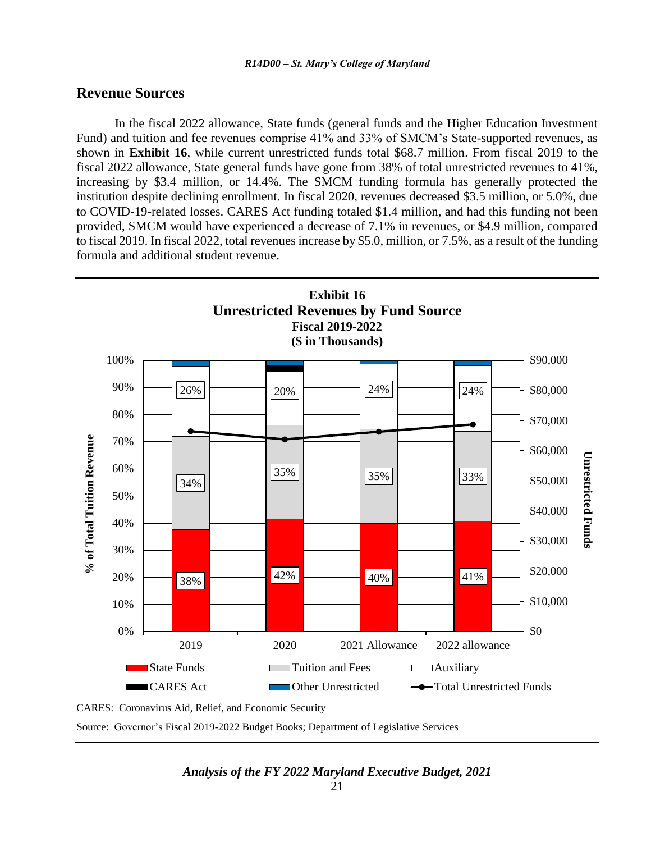#### **Revenue Sources**

In the fiscal 2022 allowance, State funds (general funds and the Higher Education Investment Fund) and tuition and fee revenues comprise 41% and 33% of SMCM's State-supported revenues, as shown in **Exhibit 16**, while current unrestricted funds total \$68.7 million. From fiscal 2019 to the fiscal 2022 allowance, State general funds have gone from 38% of total unrestricted revenues to 41%, increasing by \$3.4 million, or 14.4%. The SMCM funding formula has generally protected the institution despite declining enrollment. In fiscal 2020, revenues decreased \$3.5 million, or 5.0%, due to COVID-19-related losses. CARES Act funding totaled \$1.4 million, and had this funding not been provided, SMCM would have experienced a decrease of 7.1% in revenues, or \$4.9 million, compared to fiscal 2019. In fiscal 2022, total revenues increase by \$5.0, million, or 7.5%, as a result of the funding formula and additional student revenue.



Source: Governor's Fiscal 2019-2022 Budget Books; Department of Legislative Services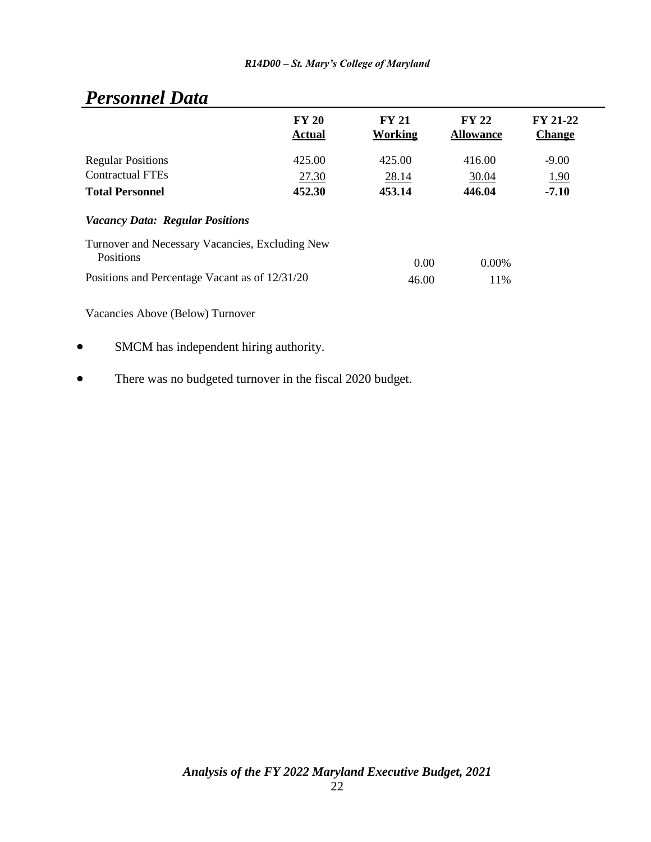# *Personnel Data*

|                                                              | <b>FY 20</b><br><b>Actual</b> | FY 21<br>Working | <b>FY 22</b><br><b>Allowance</b> | <b>FY 21-22</b><br><b>Change</b> |
|--------------------------------------------------------------|-------------------------------|------------------|----------------------------------|----------------------------------|
| <b>Regular Positions</b>                                     | 425.00                        | 425.00           | 416.00                           | $-9.00$                          |
| <b>Contractual FTEs</b>                                      | 27.30                         | 28.14            | 30.04                            | <u>1.90</u>                      |
| <b>Total Personnel</b>                                       | 452.30                        | 453.14           | 446.04                           | $-7.10$                          |
| <b>Vacancy Data: Regular Positions</b>                       |                               |                  |                                  |                                  |
| Turnover and Necessary Vacancies, Excluding New<br>Positions |                               | 0.00             | 0.00%                            |                                  |
| Positions and Percentage Vacant as of 12/31/20               |                               | 46.00            | 11%                              |                                  |
| Vacancies Above (Below) Turnover                             |                               |                  |                                  |                                  |

SMCM has independent hiring authority.

• There was no budgeted turnover in the fiscal 2020 budget.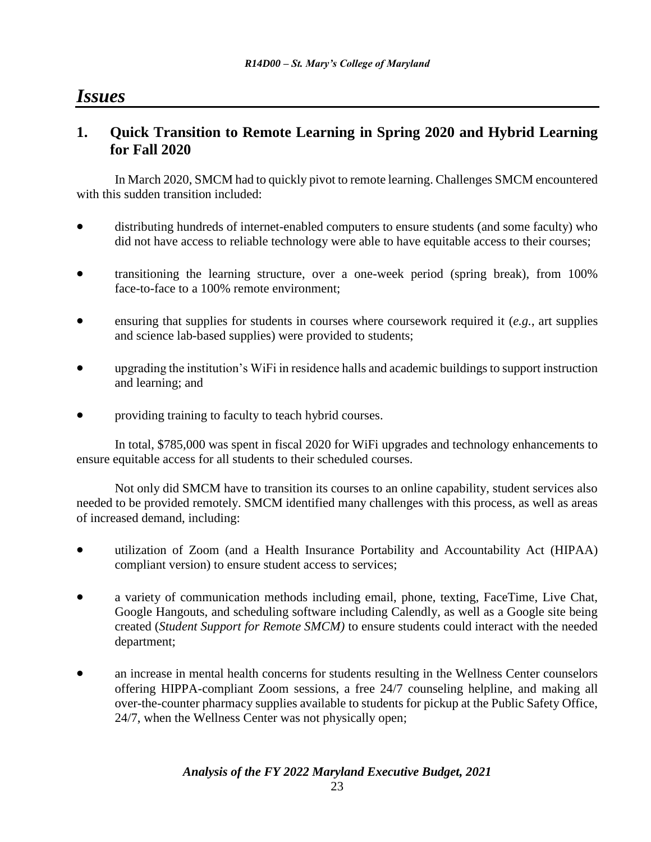## *Issues*

## **1. Quick Transition to Remote Learning in Spring 2020 and Hybrid Learning for Fall 2020**

In March 2020, SMCM had to quickly pivot to remote learning. Challenges SMCM encountered with this sudden transition included:

- distributing hundreds of internet-enabled computers to ensure students (and some faculty) who did not have access to reliable technology were able to have equitable access to their courses;
- transitioning the learning structure, over a one-week period (spring break), from 100% face-to-face to a 100% remote environment;
- ensuring that supplies for students in courses where coursework required it (*e.g.*, art supplies and science lab-based supplies) were provided to students;
- upgrading the institution's WiFi in residence halls and academic buildings to support instruction and learning; and
- providing training to faculty to teach hybrid courses.

In total, \$785,000 was spent in fiscal 2020 for WiFi upgrades and technology enhancements to ensure equitable access for all students to their scheduled courses.

Not only did SMCM have to transition its courses to an online capability, student services also needed to be provided remotely. SMCM identified many challenges with this process, as well as areas of increased demand, including:

- utilization of Zoom (and a Health Insurance Portability and Accountability Act (HIPAA) compliant version) to ensure student access to services;
- a variety of communication methods including email, phone, texting, FaceTime, Live Chat, Google Hangouts, and scheduling software including Calendly, as well as a Google site being created (*Student Support for Remote SMCM)* to ensure students could interact with the needed department;
- an increase in mental health concerns for students resulting in the Wellness Center counselors offering HIPPA-compliant Zoom sessions, a free 24/7 counseling helpline, and making all over-the-counter pharmacy supplies available to students for pickup at the Public Safety Office, 24/7, when the Wellness Center was not physically open;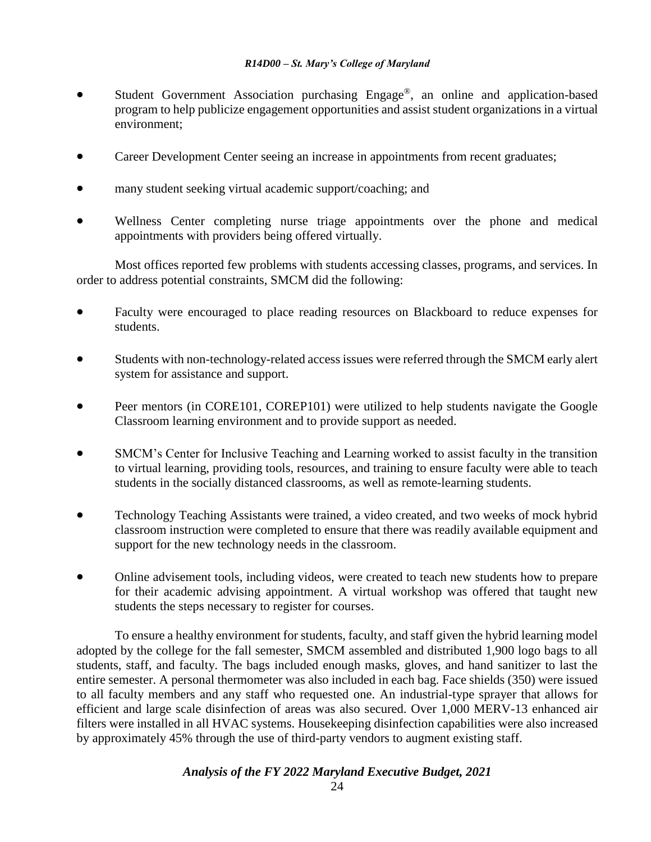- Student Government Association purchasing Engage®, an online and application-based program to help publicize engagement opportunities and assist student organizations in a virtual environment;
- Career Development Center seeing an increase in appointments from recent graduates;
- many student seeking virtual academic support/coaching; and
- Wellness Center completing nurse triage appointments over the phone and medical appointments with providers being offered virtually.

Most offices reported few problems with students accessing classes, programs, and services. In order to address potential constraints, SMCM did the following:

- Faculty were encouraged to place reading resources on Blackboard to reduce expenses for students.
- Students with non-technology-related access issues were referred through the SMCM early alert system for assistance and support.
- Peer mentors (in CORE101, COREP101) were utilized to help students navigate the Google Classroom learning environment and to provide support as needed.
- SMCM's Center for Inclusive Teaching and Learning worked to assist faculty in the transition to virtual learning, providing tools, resources, and training to ensure faculty were able to teach students in the socially distanced classrooms, as well as remote-learning students.
- Technology Teaching Assistants were trained, a video created, and two weeks of mock hybrid classroom instruction were completed to ensure that there was readily available equipment and support for the new technology needs in the classroom.
- Online advisement tools, including videos, were created to teach new students how to prepare for their academic advising appointment. A virtual workshop was offered that taught new students the steps necessary to register for courses.

To ensure a healthy environment for students, faculty, and staff given the hybrid learning model adopted by the college for the fall semester, SMCM assembled and distributed 1,900 logo bags to all students, staff, and faculty. The bags included enough masks, gloves, and hand sanitizer to last the entire semester. A personal thermometer was also included in each bag. Face shields (350) were issued to all faculty members and any staff who requested one. An industrial-type sprayer that allows for efficient and large scale disinfection of areas was also secured. Over 1,000 MERV-13 enhanced air filters were installed in all HVAC systems. Housekeeping disinfection capabilities were also increased by approximately 45% through the use of third-party vendors to augment existing staff.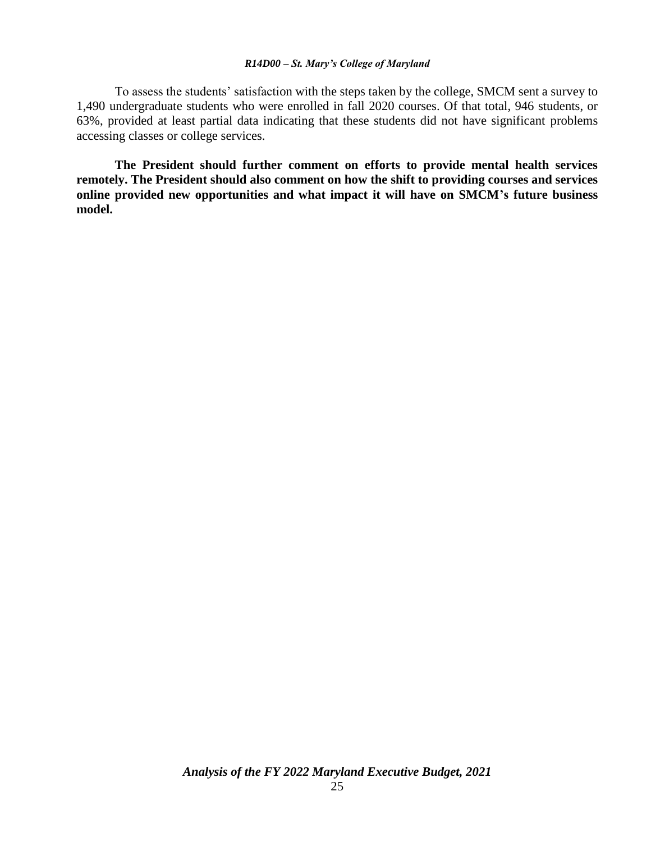To assess the students' satisfaction with the steps taken by the college, SMCM sent a survey to 1,490 undergraduate students who were enrolled in fall 2020 courses. Of that total, 946 students, or 63%, provided at least partial data indicating that these students did not have significant problems accessing classes or college services.

**The President should further comment on efforts to provide mental health services remotely. The President should also comment on how the shift to providing courses and services online provided new opportunities and what impact it will have on SMCM's future business model.**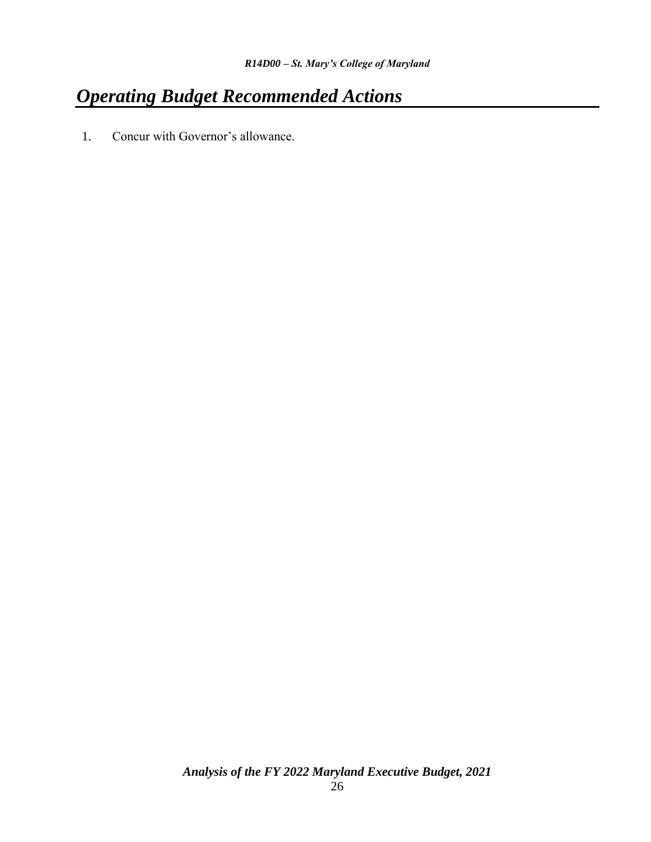# *Operating Budget Recommended Actions*

1. Concur with Governor's allowance.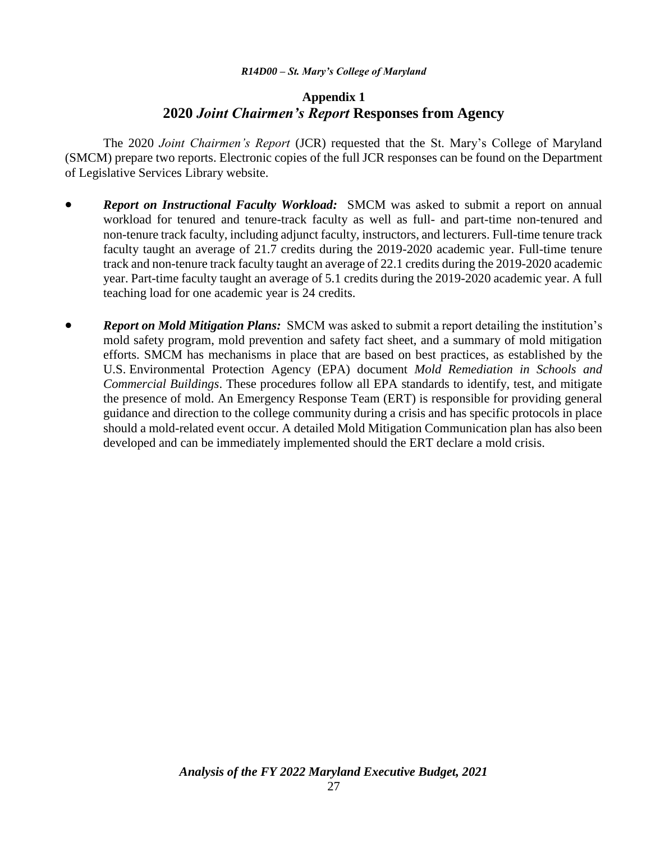#### **Appendix 1 2020** *Joint Chairmen's Report* **Responses from Agency**

The 2020 *Joint Chairmen's Report* (JCR) requested that the St. Mary's College of Maryland (SMCM) prepare two reports. Electronic copies of the full JCR responses can be found on the Department of Legislative Services Library website.

- *Report on Instructional Faculty Workload:* SMCM was asked to submit a report on annual workload for tenured and tenure-track faculty as well as full- and part-time non-tenured and non-tenure track faculty, including adjunct faculty, instructors, and lecturers. Full-time tenure track faculty taught an average of 21.7 credits during the 2019-2020 academic year. Full-time tenure track and non-tenure track faculty taught an average of 22.1 credits during the 2019-2020 academic year. Part-time faculty taught an average of 5.1 credits during the 2019-2020 academic year. A full teaching load for one academic year is 24 credits.
- *Report on Mold Mitigation Plans:* SMCM was asked to submit a report detailing the institution's mold safety program, mold prevention and safety fact sheet, and a summary of mold mitigation efforts. SMCM has mechanisms in place that are based on best practices, as established by the U.S. Environmental Protection Agency (EPA) document *Mold Remediation in Schools and Commercial Buildings*. These procedures follow all EPA standards to identify, test, and mitigate the presence of mold. An Emergency Response Team (ERT) is responsible for providing general guidance and direction to the college community during a crisis and has specific protocols in place should a mold-related event occur. A detailed Mold Mitigation Communication plan has also been developed and can be immediately implemented should the ERT declare a mold crisis.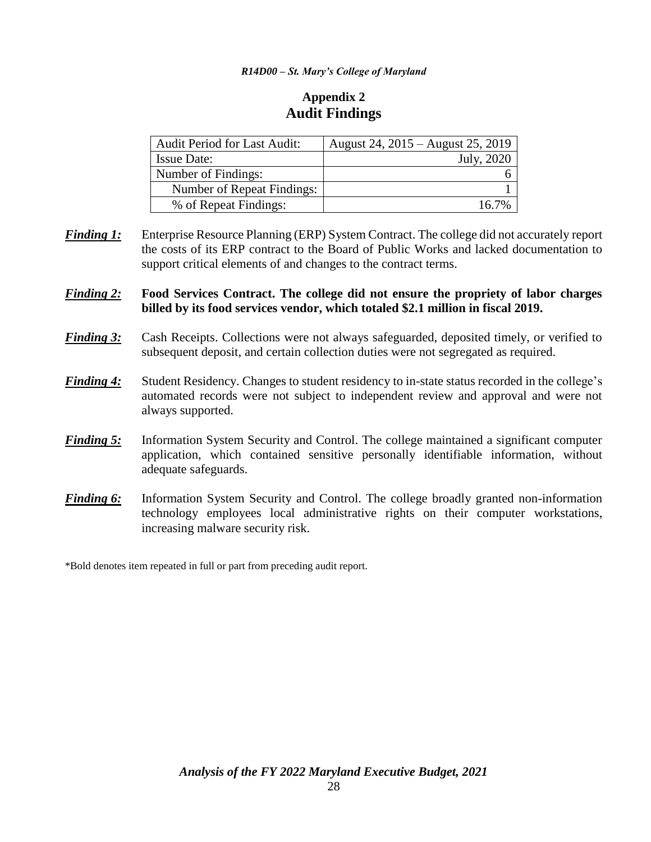### **Appendix 2 Audit Findings**

| <b>Audit Period for Last Audit:</b> | August 24, 2015 – August 25, 2019 |
|-------------------------------------|-----------------------------------|
| <b>Issue Date:</b>                  | July, 2020                        |
| Number of Findings:                 |                                   |
| Number of Repeat Findings:          |                                   |
| % of Repeat Findings:               | 16.7%                             |

*Finding 1:* Enterprise Resource Planning (ERP) System Contract. The college did not accurately report the costs of its ERP contract to the Board of Public Works and lacked documentation to support critical elements of and changes to the contract terms.

#### *Finding 2:* **Food Services Contract. The college did not ensure the propriety of labor charges billed by its food services vendor, which totaled \$2.1 million in fiscal 2019.**

- *Finding 3:* Cash Receipts. Collections were not always safeguarded, deposited timely, or verified to subsequent deposit, and certain collection duties were not segregated as required.
- *Finding 4:* Student Residency. Changes to student residency to in-state status recorded in the college's automated records were not subject to independent review and approval and were not always supported.
- *Finding 5:* Information System Security and Control. The college maintained a significant computer application, which contained sensitive personally identifiable information, without adequate safeguards.
- *Finding 6:* Information System Security and Control. The college broadly granted non-information technology employees local administrative rights on their computer workstations, increasing malware security risk.

\*Bold denotes item repeated in full or part from preceding audit report.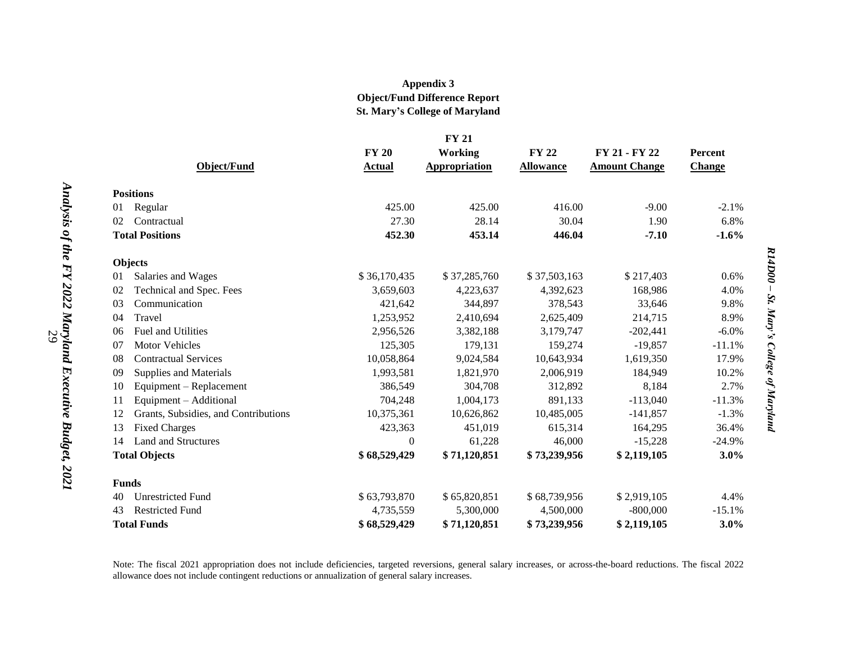#### **Appendix 3 Object/Fund Difference Report St. Mary's College of Maryland**

| <b>FY 21</b>                               |                  |               |                  |                      |               |  |  |  |
|--------------------------------------------|------------------|---------------|------------------|----------------------|---------------|--|--|--|
|                                            | <b>FY 20</b>     | Working       | <b>FY 22</b>     | FY 21 - FY 22        | Percent       |  |  |  |
| <b>Object/Fund</b>                         | Actual           | Appropriation | <b>Allowance</b> | <b>Amount Change</b> | <b>Change</b> |  |  |  |
|                                            |                  |               |                  |                      |               |  |  |  |
| <b>Positions</b>                           |                  |               |                  |                      |               |  |  |  |
| Regular<br>01                              | 425.00           | 425.00        | 416.00           | $-9.00$              | $-2.1%$       |  |  |  |
| Contractual<br>02                          | 27.30            | 28.14         | 30.04            | 1.90                 | 6.8%          |  |  |  |
| <b>Total Positions</b>                     | 452.30           | 453.14        | 446.04           | $-7.10$              | $-1.6%$       |  |  |  |
| <b>Objects</b>                             |                  |               |                  |                      |               |  |  |  |
| 01<br>Salaries and Wages                   | \$36,170,435     | \$37,285,760  | \$37,503,163     | \$217,403            | 0.6%          |  |  |  |
| Technical and Spec. Fees<br>02             | 3,659,603        | 4,223,637     | 4,392,623        | 168,986              | 4.0%          |  |  |  |
| 03<br>Communication                        | 421,642          | 344,897       | 378,543          | 33,646               | 9.8%          |  |  |  |
| Travel<br>04                               | 1,253,952        | 2,410,694     | 2,625,409        | 214,715              | 8.9%          |  |  |  |
| <b>Fuel and Utilities</b><br>06            | 2,956,526        | 3,382,188     | 3,179,747        | $-202,441$           | $-6.0\%$      |  |  |  |
| 07<br><b>Motor Vehicles</b>                | 125,305          | 179,131       | 159,274          | $-19,857$            | $-11.1%$      |  |  |  |
| <b>Contractual Services</b><br>08          | 10,058,864       | 9,024,584     | 10,643,934       | 1,619,350            | 17.9%         |  |  |  |
| Supplies and Materials<br>09               | 1,993,581        | 1,821,970     | 2,006,919        | 184,949              | 10.2%         |  |  |  |
| Equipment – Replacement<br>10              | 386,549          | 304,708       | 312,892          | 8,184                | 2.7%          |  |  |  |
| Equipment - Additional<br>11               | 704,248          | 1,004,173     | 891,133          | $-113,040$           | $-11.3%$      |  |  |  |
| 12<br>Grants, Subsidies, and Contributions | 10,375,361       | 10,626,862    | 10,485,005       | $-141,857$           | $-1.3%$       |  |  |  |
| <b>Fixed Charges</b><br>13                 | 423,363          | 451,019       | 615,314          | 164,295              | 36.4%         |  |  |  |
| <b>Land and Structures</b><br>14           | $\boldsymbol{0}$ | 61,228        | 46,000           | $-15,228$            | $-24.9%$      |  |  |  |
| <b>Total Objects</b>                       | \$68,529,429     | \$71,120,851  | \$73,239,956     | \$2,119,105          | 3.0%          |  |  |  |
| <b>Funds</b>                               |                  |               |                  |                      |               |  |  |  |
| <b>Unrestricted Fund</b><br>40             | \$63,793,870     | \$65,820,851  | \$68,739,956     | \$2,919,105          | 4.4%          |  |  |  |
| <b>Restricted Fund</b><br>43               | 4,735,559        | 5,300,000     | 4,500,000        | $-800,000$           | $-15.1%$      |  |  |  |
| <b>Total Funds</b>                         | \$68,529,429     | \$71,120,851  | \$73,239,956     | \$2,119,105          | 3.0%          |  |  |  |

*R14D00* 

R14D00 - St. Mary's College of Maryland

*St. Mary's College of Maryland*

Note: The fiscal 2021 appropriation does not include deficiencies, targeted reversions, general salary increases, or across-the-board reductions. The fiscal 2022 allowance does not include contingent reductions or annualization of general salary increases.